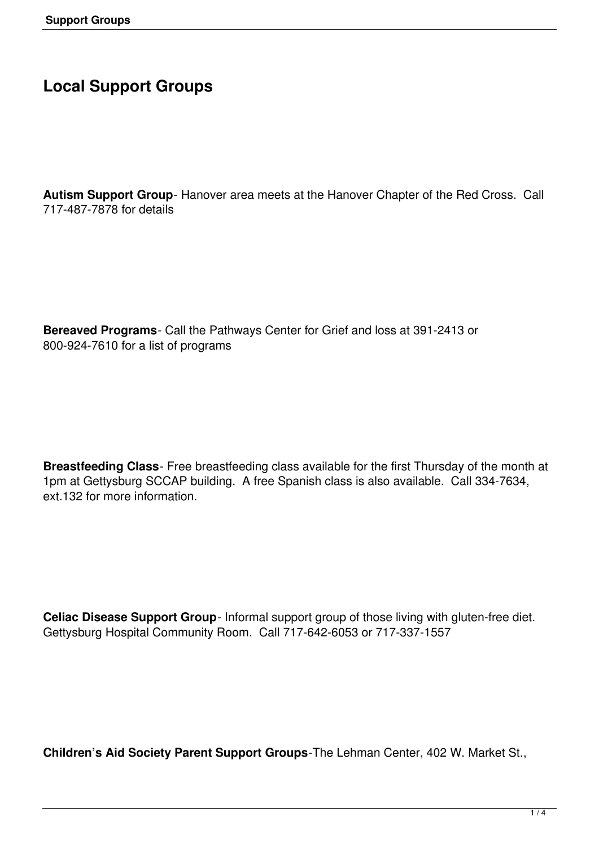## **Local Support Groups**

**Autism Support Group**- Hanover area meets at the Hanover Chapter of the Red Cross. Call 717-487-7878 for details

**Bereaved Programs**- Call the Pathways Center for Grief and loss at 391-2413 or 800-924-7610 for a list of programs

**Breastfeeding Class**- Free breastfeeding class available for the first Thursday of the month at 1pm at Gettysburg SCCAP building. A free Spanish class is also available. Call 334-7634, ext.132 for more information.

**Celiac Disease Support Group**- Informal support group of those living with gluten-free diet. Gettysburg Hospital Community Room. Call 717-642-6053 or 717-337-1557

**Children's Aid Society Parent Support Groups**-The Lehman Center, 402 W. Market St.,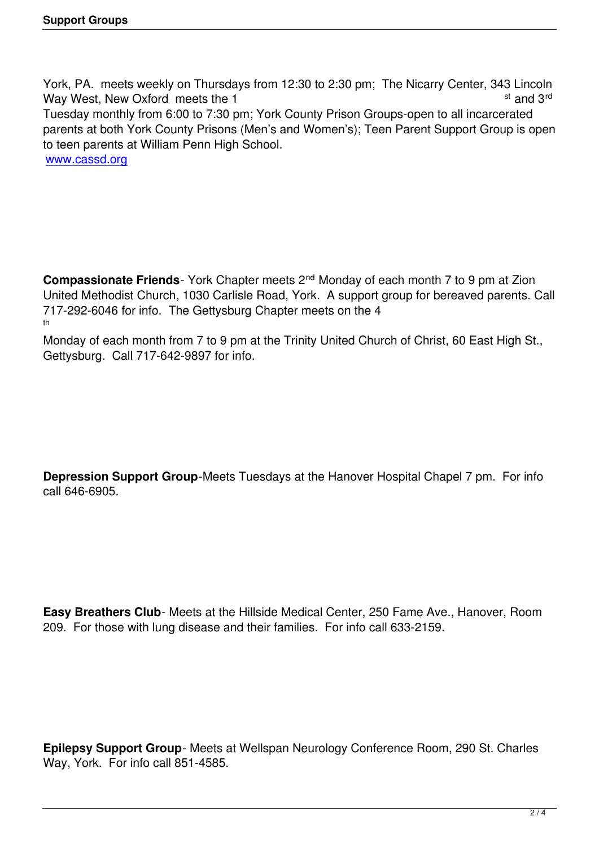York, PA. meets weekly on Thursdays from 12:30 to 2:30 pm; The Nicarry Center, 343 Lincoln Way West, New Oxford meets the 1 st and 3rd st and 3rd Tuesday monthly from 6:00 to 7:30 pm; York County Prison Groups-open to all incarcerated parents at both York County Prisons (Men's and Women's); Teen Parent Support Group is open to teen parents at William Penn High School. www.cassd.org

**Compassionate Friends**- York Chapter meets 2<sup>nd</sup> Monday of each month 7 to 9 pm at Zion United Methodist Church, 1030 Carlisle Road, York. A support group for bereaved parents. Call 717-292-6046 for info. The Gettysburg Chapter meets on the 4 th

Monday of each month from 7 to 9 pm at the Trinity United Church of Christ, 60 East High St., Gettysburg. Call 717-642-9897 for info.

**Depression Support Group**-Meets Tuesdays at the Hanover Hospital Chapel 7 pm. For info call 646-6905.

**Easy Breathers Club**- Meets at the Hillside Medical Center, 250 Fame Ave., Hanover, Room 209. For those with lung disease and their families. For info call 633-2159.

**Epilepsy Support Group**- Meets at Wellspan Neurology Conference Room, 290 St. Charles Way, York. For info call 851-4585.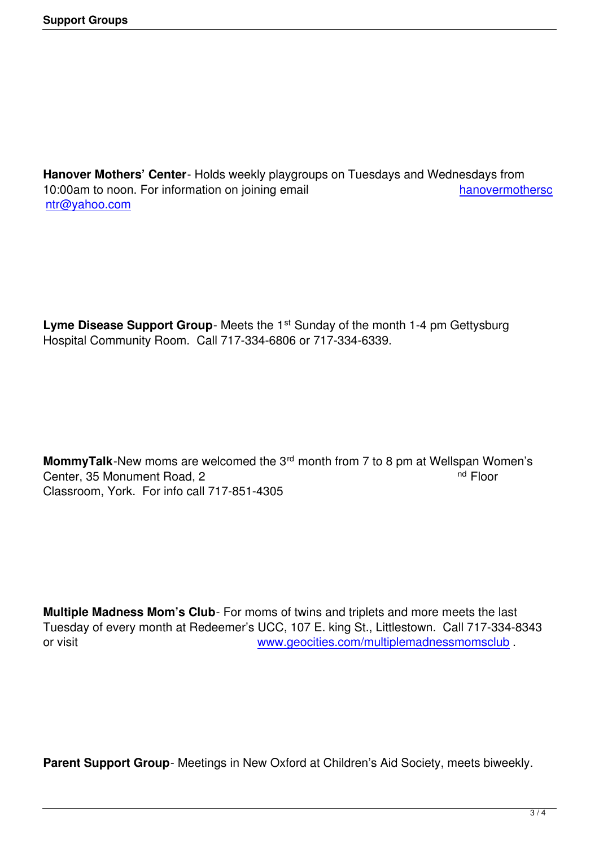**Hanover Mothers' Center**- Holds weekly playgroups on Tuesdays and Wednesdays from 10:00am to noon. For information on joining email hand hand hanovermothersc ntr@yahoo.com

**Lyme Disease Support Group**- Meets the 1<sup>st</sup> Sunday of the month 1-4 pm Gettysburg Hospital Community Room. Call 717-334-6806 or 717-334-6339.

**MommyTalk**-New moms are welcomed the 3<sup>rd</sup> month from 7 to 8 pm at Wellspan Women's Center 35 Monument Road 2 Center, 35 Monument Road, 2 Classroom, York. For info call 717-851-4305

**Multiple Madness Mom's Club**- For moms of twins and triplets and more meets the last Tuesday of every month at Redeemer's UCC, 107 E. king St., Littlestown. Call 717-334-8343 or visit www.geocities.com/multiplemadnessmomsclub .

**Parent Support Group**- Meetings in New Oxford at Children's Aid Society, meets biweekly.